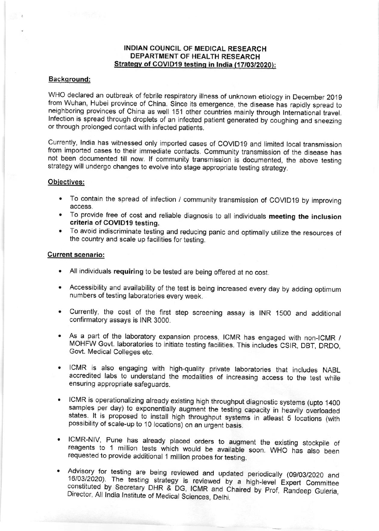## INDIAN COUNCIL OF MEDICAL RESEARCH DEPARTMENT OF HEALTH RESEARCH Strategy of COVID19 testing in India (17/03/2020):

### Backqround:

WHO declared an outbreak of febrile respiratory illness of unknown etiology in December 2019 from Wuhan, Hubei province of China. Since its emergence, the disease has rapidly spread to neighboring provinces of China as well 151 other countries mainly through International travel. Infection is spread through droplets of an infected patient generated by coughing and sneezing or through prolonged contact with infected patients.

Currently, India has witnessed only imported cases of COVID19 and limited local transmission from imported cases to their immediate contacts. Community transmission of the disease has not been documented till now. lf community transmission is documented, the above testing strategy will undergo changes to evolve into stage appropriate testing strategy.

### Obiectives:

- . To contain the spread of infection / community transmission of COV|DI9 by improving access.
- . To provide free of cost and reliable diagnosis to all individuals meeting the inclusion criteria of COVID19 testing.
- . To avoid indiscriminate testing and reducing panic and optimally utjlize the resources of the country and scale up facilities for testing.

### Current scenario:

- . All individuals requiring to be tested are being offered at no cost.
- . Accessibility and availability of the test is being increased every day by adding optimum numbers of testing laboratories every week.
- . Currently, the cost of the first step screening assay is INR 1SOO and additional confirmatory assays is INR 3000.
- . As a part of the laboratory expansion process, ICMR has engaged with non-ICMR / MOHFW Govt. laboratories to initiate testing facilities. This includes CSIR, DBT, DRDO, Govt. Medical Colleges etc.
- . ICMR is also engaging with high-quality private taboratories that includes NABL accredited labs to understand the modalities of increasing access to the test while ensuring appropriate safeguards.
- ICMR is operationalizing already existing high throughput diagnostic systems (upto 1400 samples per day) to exponentially augment the testing capacity in heavily overloaded states. It is proposed to install high throughput
- ICMR-NIV, Pune has already placed orders to augment the existing stockpile of reagents to 1 million tests which would be available soon. WHO has also been requested to provide additional 1 million probes for testing.
- Advisory for testing are being reviewed and updated periodically (09/03/2020 and 16/03/2020). The testing strategy is reviewed by a high-level Expert Committee constituted by Secretary DHR & DG, ICMR and Chaired by Prof,